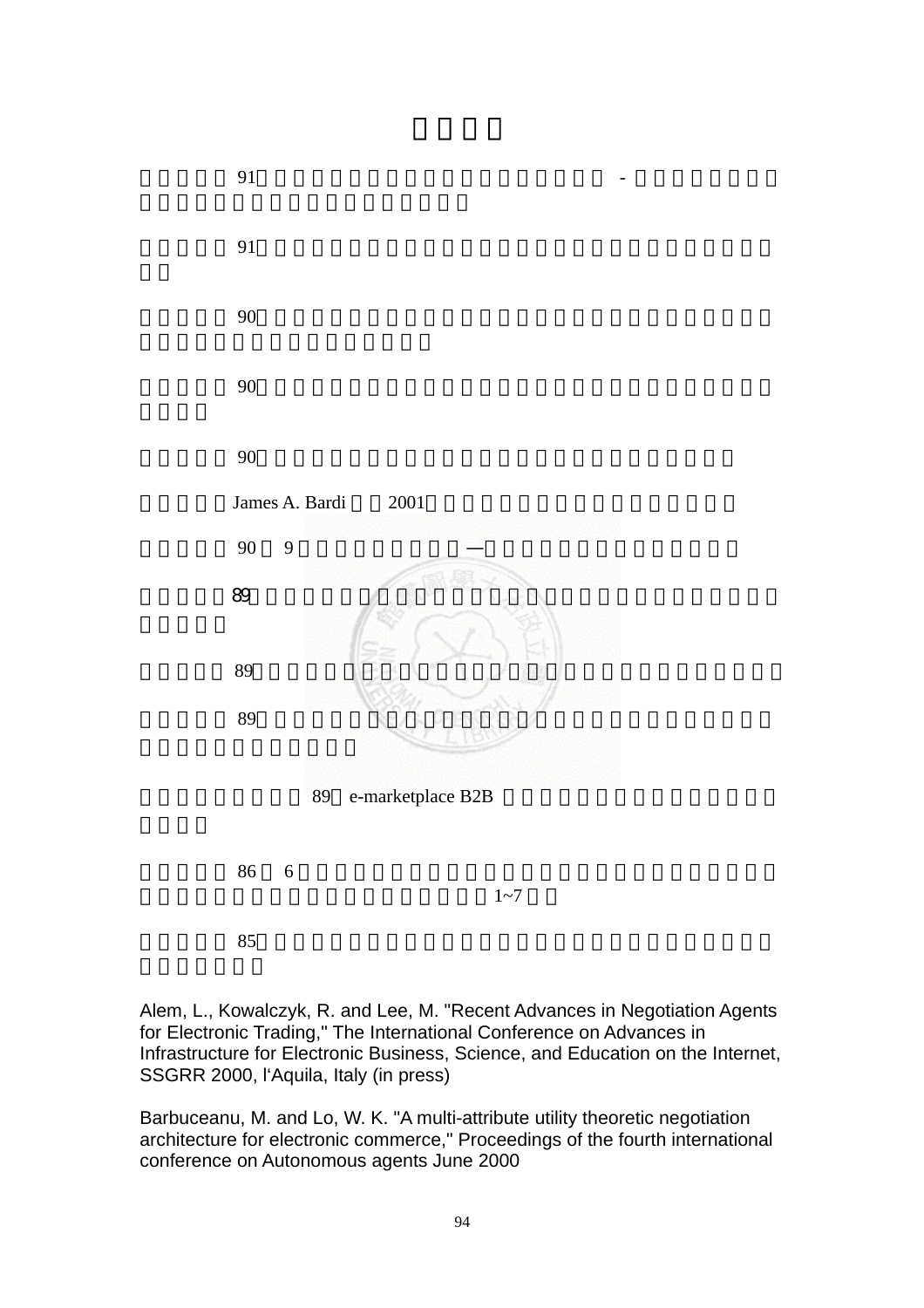

Alem, L., Kowalczyk, R. and Lee, M. "Recent Advances in Negotiation Agents for Electronic Trading," The International Conference on Advances in Infrastructure for Electronic Business, Science, and Education on the Internet, SSGRR 2000, l'Aquila, Italy (in press)

Barbuceanu, M. and Lo, W. K. "A multi-attribute utility theoretic negotiation architecture for electronic commerce," Proceedings of the fourth international conference on Autonomous agents June 2000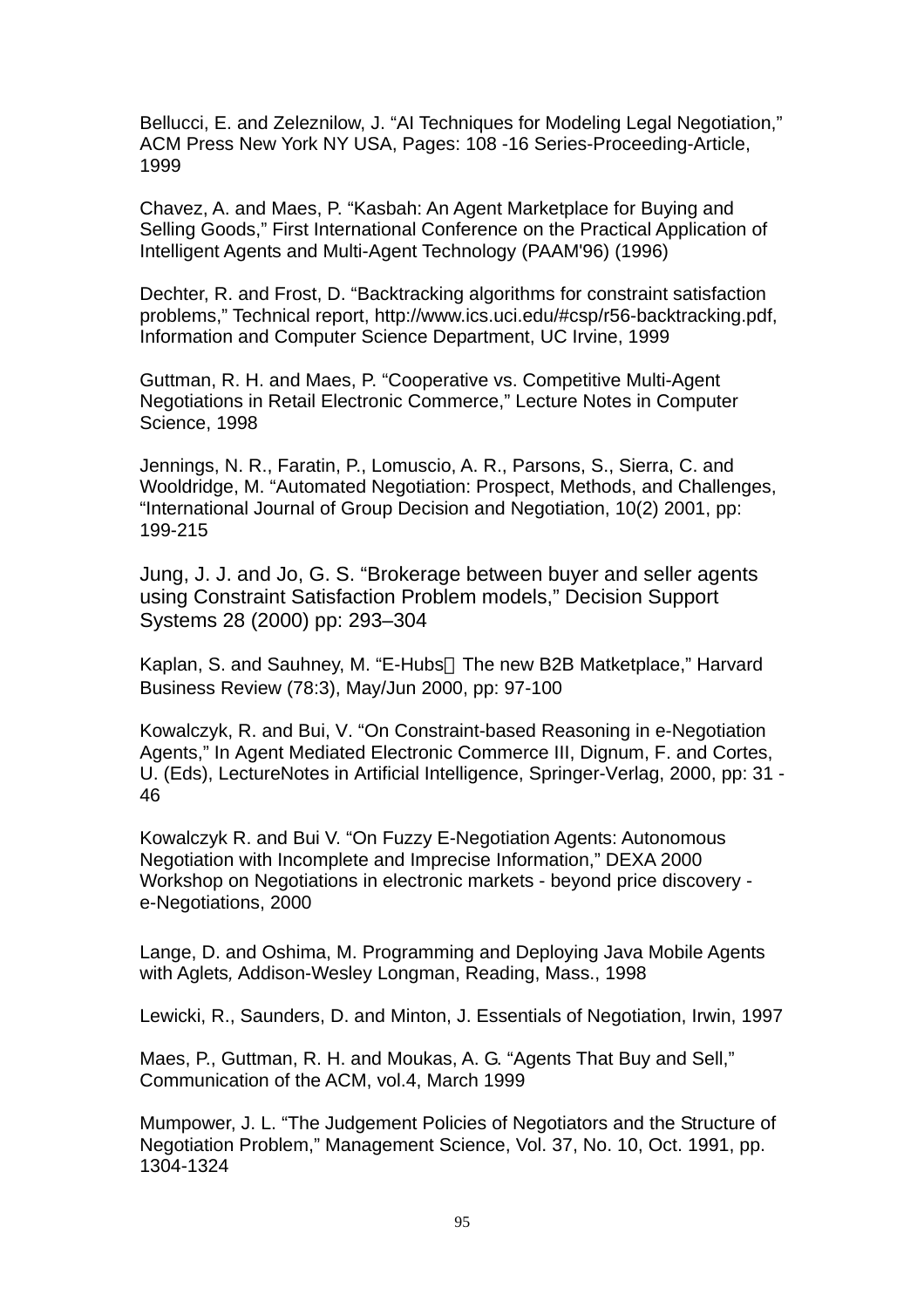Bellucci, E. and Zeleznilow, J. "AI Techniques for Modeling Legal Negotiation," ACM Press New York NY USA, Pages: 108 -16 Series-Proceeding-Article, 1999

Chavez, A. and Maes, P. "Kasbah: An Agent Marketplace for Buying and Selling Goods," First International Conference on the Practical Application of Intelligent Agents and Multi-Agent Technology (PAAM'96) (1996)

Dechter, R. and Frost, D. "Backtracking algorithms for constraint satisfaction problems," Technical report, http://www.ics.uci.edu/#csp/r56-backtracking.pdf, Information and Computer Science Department, UC Irvine, 1999

Guttman, R. H. and Maes, P. "Cooperative vs. Competitive Multi-Agent Negotiations in Retail Electronic Commerce," Lecture Notes in Computer Science, 1998

Jennings, N. R., Faratin, P., Lomuscio, A. R., Parsons, S., Sierra, C. and Wooldridge, M. "Automated Negotiation: Prospect, Methods, and Challenges, "International Journal of Group Decision and Negotiation, 10(2) 2001, pp: 199-215

Jung, J. J. and Jo, G. S. "Brokerage between buyer and seller agents using Constraint Satisfaction Problem models," Decision Support Systems 28 (2000) pp: 293–304

Kaplan, S. and Sauhney, M. "E-Hubs The new B2B Matketplace," Harvard Business Review (78:3), May/Jun 2000, pp: 97-100

Kowalczyk, R. and Bui, V. "On Constraint-based Reasoning in e-Negotiation Agents," In Agent Mediated Electronic Commerce III, Dignum, F. and Cortes, U. (Eds), LectureNotes in Artificial Intelligence, Springer-Verlag, 2000, pp: 31 - 46

Kowalczyk R. and Bui V. "On Fuzzy E-Negotiation Agents: Autonomous Negotiation with Incomplete and Imprecise Information," DEXA 2000 Workshop on Negotiations in electronic markets - beyond price discovery e-Negotiations, 2000

Lange, D. and Oshima, M. Programming and Deploying Java Mobile Agents with Aglets*,* Addison-Wesley Longman, Reading, Mass., 1998

Lewicki, R., Saunders, D. and Minton, J. Essentials of Negotiation, Irwin, 1997

Maes, P., Guttman, R. H. and Moukas, A. G. "Agents That Buy and Sell," Communication of the ACM, vol.4, March 1999

Mumpower, J. L. "The Judgement Policies of Negotiators and the Structure of Negotiation Problem," Management Science, Vol. 37, No. 10, Oct. 1991, pp. 1304-1324